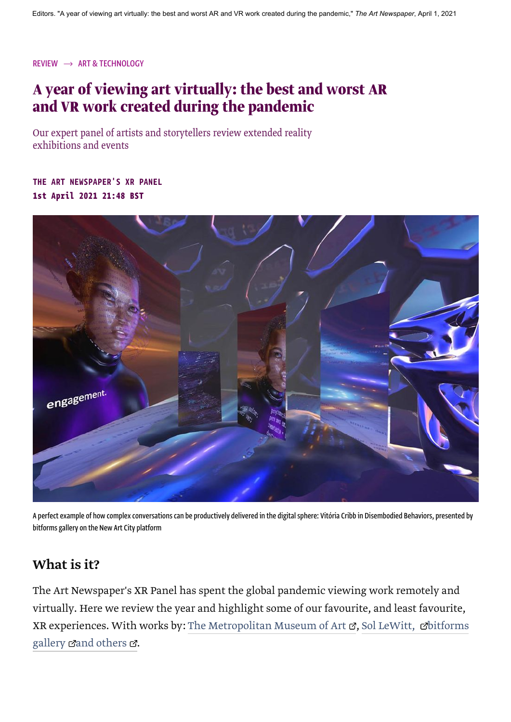[REVIEW](https://www.theartnewspaper.com/review)  $\rightarrow$  [ART & TECHNOLOGY](https://www.theartnewspaper.com/art-and-technology)

## **A year of viewing art virtually: the best and worst AR and VR work created during the pandemic**

Our expert panel of artists and storytellers review extended reality exhibitions and events

1st April 2021 21:48 BST [THE ART NEWSPAPER'S XR PANEL](https://www.theartnewspaper.com/the-art-newspaper-s-xr-panel)



A perfect example of how complex conversations can be productively delivered in the digital sphere: Vitória Cribb in Disembodied Behaviors, presented by bitforms gallery on the New Art City platform

## What is it?

The Art Newspaper's XR Panel has spent the global pandemic viewing work remotely and virtually. Here we review the year and highlight some of our favourite, and least favourite, [XR experiences. With works by:](https://www.theartnewspaper.com/review/disembodied-behaviors-review-the-art-newspaper-xr-panel) [The Metropolitan Museum of Art](https://www.theartnewspaper.com/review/zemi-cohoba-stand)  $\sigma$ , Sol LeWitt,  $\sigma$ bitforms gallery  $\mathbb{Z}$  [and others](https://www.theartnewspaper.com/the-art-newspaper-s-xr-panel)  $\mathbb{Z}$ .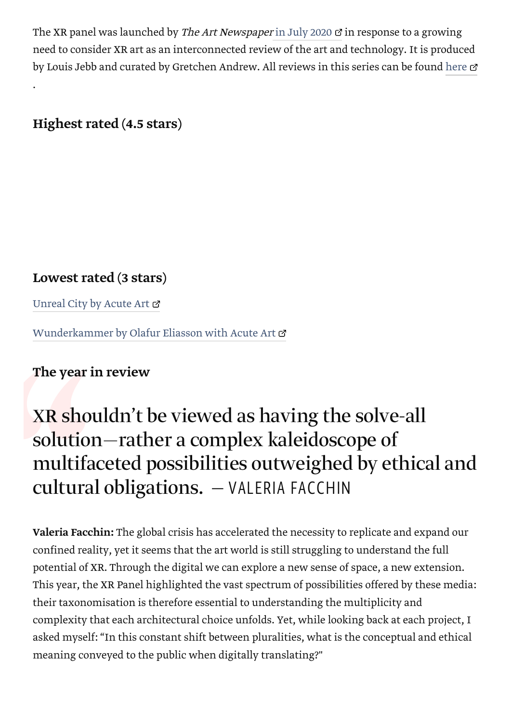The XR panel was launched by The Art Newspaper [in July 2020](https://www.theartnewspaper.com/feature/xr-for-art)  $\sigma$  in response to a growing need to consider XR art as an interconnected review of the art and technology. It is produced by Louis Jebb and curated by Gretchen Andrew. All reviews in this series can be found [here](https://www.theartnewspaper.com/the-art-newspaper-s-xr-panel)  $\sigma$ 

## Highest rated (4.5 stars)

.

## Lowest rated (3 stars)

[Unreal City by Acute Art](https://www.theartnewspaper.com/review/unreal-city-xr-acute-art-review)  $\sigma$ 

[Wunderkammer by Olafur Eliasson with Acute Art](https://www.theartnewspaper.com/review/wunderkammer-augmented-reality-app) &

## The year in review

# The year in revie<br>
XR shouldn'<br>
solution—ra<br>
multifaceted<br>
cultural obli<br>
valeria Facchin: The<br>
valeria Facchin: The<br>
confined reality, yet if<br>
potential of XR. Throu XR shouldn't be viewed as having the solve-all solution—rather a complex kaleidoscope of multifaceted possibilities outweighed by ethical and cultural obligations. — VALERIA FACCHIN

Valeria Facchin: The global crisis has accelerated the necessity to replicate and expand our confined reality, yet it seems that the art world is still struggling to understand the full potential of XR. Through the digital we can explore a new sense of space, a new extension. This year, the XR Panel highlighted the vast spectrum of possibilities offered by these media: their taxonomisation is therefore essential to understanding the multiplicity and complexity that each architectural choice unfolds. Yet, while looking back at each project, I asked myself: "In this constant shift between pluralities, what is the conceptual and ethical meaning conveyed to the public when digitally translating?"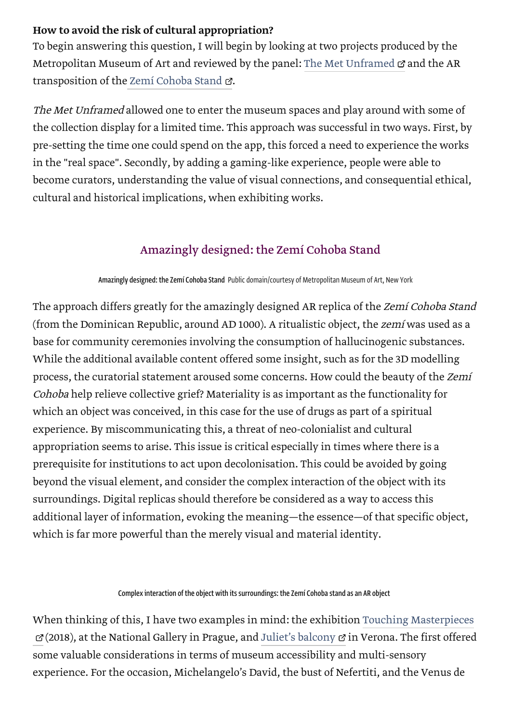#### How to avoid the risk of cultural appropriation?

To begin answering this question, I will begin by looking at two projects produced by the Metropolitan Museum of Art and reviewed by the panel: [The Met Unframed](https://www.theartnewspaper.com/review/met-unframed-ar-app-review)  $\sigma$  and the AR transposition of th[e Zemí Cohoba Stand](https://www.theartnewspaper.com/review/zemi-cohoba-stand) &.

The Met Unframed allowed one to enter the museum spaces and play around with some of the collection display for a limited time. This approach was successful in two ways. First, by pre-setting the time one could spend on the app, this forced a need to experience the works in the "real space". Secondly, by adding a gaming-like experience, people were able to become curators, understanding the value of visual connections, and consequential ethical, cultural and historical implications, when exhibiting works.

## [Amazingly designed: the Zemí Cohoba Stand](https://dmdlnu87i51n1.cloudfront.net/v1/uk/ckmxix61v00003g5p9vjwhu4k/0x0:1400x1867/undefinedxundefined/zemi_cohoba_metropolitan_museum_web.jpg)

#### Amazingly designed: the Zemí Cohoba Stand Public domain/courtesy of Metropolitan Museum of Art, New York

The approach differs greatly for the amazingly designed AR replica of the Zemí Cohoba Stand (from the Dominican Republic, around AD 1000). A ritualistic object, the zemí was used as a base for community ceremonies involving the consumption of hallucinogenic substances. While the additional available content offered some insight, such as for the 3D modelling process, the curatorial statement aroused some concerns. How could the beauty of the Zemí Cohoba help relieve collective grief? Materiality is as important as the functionality for which an object was conceived, in this case for the use of drugs as part of a spiritual experience. By miscommunicating this, a threat of neo-colonialist and cultural appropriation seems to arise. This issue is critical especially in times where there is a prerequisite for institutions to act upon decolonisation. This could be avoided by going beyond the visual element, and consider the complex interaction of the object with its surroundings. Digital replicas should therefore be considered as a way to access this additional layer of information, evoking the meaning—the essence—of that specific object, which is far more powerful than the merely visual and material identity.

#### [Complex interaction of the object with its surroundings: the Zemí Cohoba stand as an AR object](https://dmdlnu87i51n1.cloudfront.net/v1/uk/ckmxj1ndn00093g5pa3vxmdk6/0x0:1400x1096/undefinedxundefined/zemi_cohoba_the_met_ar_xr.jpg)

[When thinking of this, I have two examples in mind: the exhibition Touching Masterpieces](https://www.youtube.com/watch?v=kyfhQZZyDL0) (2018), at the National Gallery in Prague, and [Juliet's balcony](https://theculturetrip.com/europe/italy/articles/the-story-behind-juliets-balcony-in-verona/) in Verona. The first offered some valuable considerations in terms of museum accessibility and multi-sensory experience. For the occasion, Michelangelo's David, the bust of Nefertiti, and the Venus de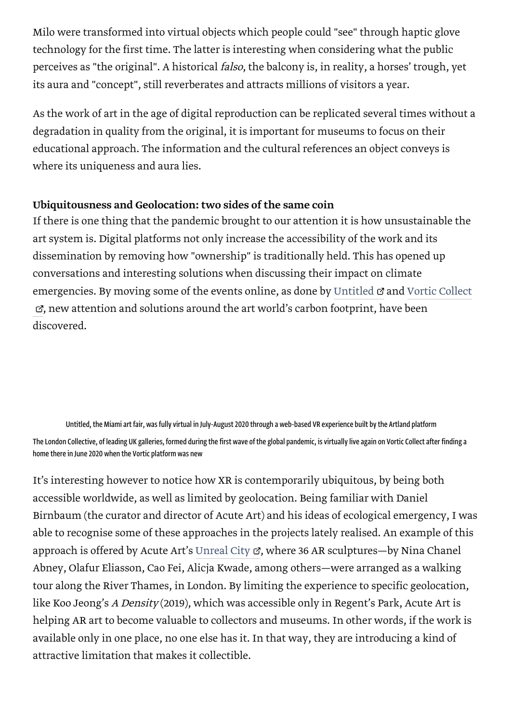Milo were transformed into virtual objects which people could "see" through haptic glove technology for the first time. The latter is interesting when considering what the public perceives as "the original". A historical falso, the balcony is, in reality, a horses' trough, yet its aura and "concept", still reverberates and attracts millions of visitors a year.

As the work of art in the age of digital reproduction can be replicated several times without a degradation in quality from the original, it is important for museums to focus on their educational approach. The information and the cultural references an object conveys is where its uniqueness and aura lies.

#### Ubiquitousness and Geolocation: two sides of the same coin

If there is one thing that the pandemic brought to our attention it is how unsustainable the art system is. Digital platforms not only increase the accessibility of the work and its dissemination by removing how "ownership" is traditionally held. This has opened up conversations and interesting solutions when discussing their impact on climate [emergencies. By moving some of the events online, as done by U](https://www.theartnewspaper.com/review/vortic-collect-review)[ntitled](https://www.theartnewspaper.com/review/untitled-vr-art-fair)  $\sigma$  [and Vortic Collect](https://www.theartnewspaper.com/review/vortic-collect-review) , new attention and solutions around the art world's carbon footprint, have been discovered.

Untitled, the Miami art fair, was fully virtual in July-August 2020 through a web-based VR experience built by the Artland platform [The London Collective, of leading UK galleries, formed during the first wave of the global pandemic, is virtually live again on Vortic Collect after finding a](https://dmdlnu87i51n1.cloudfront.net/v1/uk/ckmxn7jbl001i3g5pmlotavxl/0x0:1400x903/960x960/vortic_london_collective_2021.jpg) home there in June 2020 when the Vortic platform was new

It's interesting however to notice how XR is contemporarily ubiquitous, by being both accessible worldwide, as well as limited by geolocation. Being familiar with Daniel Birnbaum (the curator and director of Acute Art) and his ideas of ecological emergency, I was able to recognise some of these approaches in the projects lately realised. An example of this approach is offered by Acute Art's [Unreal City](https://www.theartnewspaper.com/review/unreal-city-xr-acute-art-review)  $\mathbb{C}$ , where 36 AR sculptures—by Nina Chanel Abney, Olafur Eliasson, Cao Fei, Alicja Kwade, among others—were arranged as a walking tour along the River Thames, in London. By limiting the experience to specific geolocation, like Koo Jeong's A Density (2019), which was accessible only in Regent's Park, Acute Art is helping AR art to become valuable to collectors and museums. In other words, if the work is available only in one place, no one else has it. In that way, they are introducing a kind of attractive limitation that makes it collectible.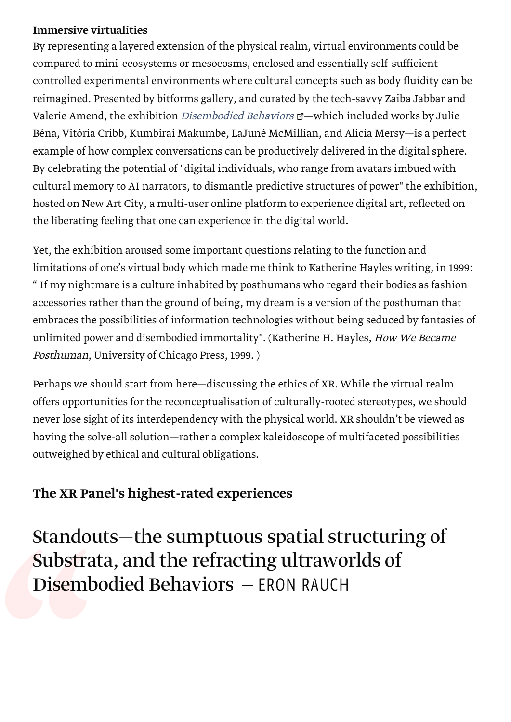#### Immersive virtualities

By representing a layered extension of the physical realm, virtual environments could be compared to mini-ecosystems or mesocosms, enclosed and essentially self-sufficient controlled experimental environments where cultural concepts such as body fluidity can be reimagined. Presented by bitforms gallery, and curated by the tech-savvy Zaiba Jabbar and Valerie Amend, the exhibition *[Disembodied Behaviors](https://www.theartnewspaper.com/review/disembodied-behaviors-review-the-art-newspaper-xr-panel)*  $\alpha$ -which included works by Julie Béna, Vitória Cribb, Kumbirai Makumbe, LaJuné McMillian, and Alicia Mersy—is a perfect example of how complex conversations can be productively delivered in the digital sphere. By celebrating the potential of "digital individuals, who range from avatars imbued with cultural memory to AI narrators, to dismantle predictive structures of power" the exhibition, hosted on New Art City, a multi-user online platform to experience digital art, reflected on the liberating feeling that one can experience in the digital world.

Yet, the exhibition aroused some important questions relating to the function and limitations of one's virtual body which made me think to Katherine Hayles writing, in 1999: " If my nightmare is a culture inhabited by posthumans who regard their bodies as fashion accessories rather than the ground of being, my dream is a version of the posthuman that embraces the possibilities of information technologies without being seduced by fantasies of unlimited power and disembodied immortality". (Katherine H. Hayles, How We Became Posthuman, University of Chicago Press, 1999. )

Perhaps we should start from here—discussing the ethics of XR. While the virtual realm offers opportunities for the reconceptualisation of culturally-rooted stereotypes, we should never lose sight of its interdependency with the physical world. XR shouldn't be viewed as having the solve-all solution—rather a complex kaleidoscope of multifaceted possibilities outweighed by ethical and cultural obligations.

## The XR Panel's highest-rated experiences

**Substra**<br>Disemb Standouts—the sumptuous spatial structuring of Substrata, and the refracting ultraworlds of Disembodied Behaviors — ERON RAUCH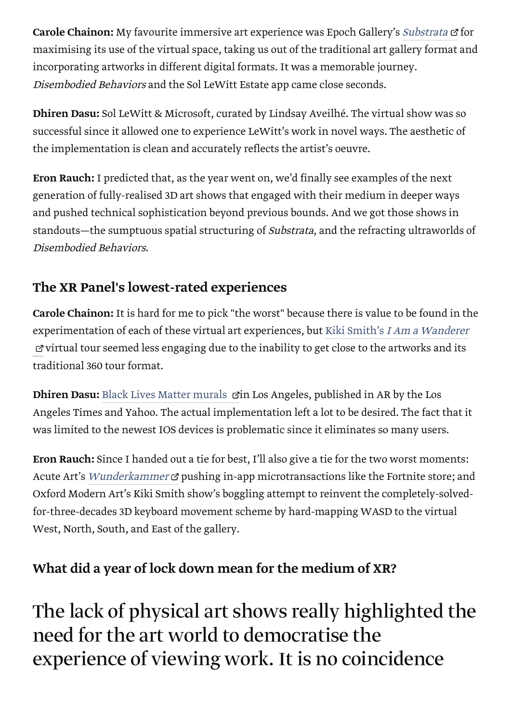Carole Chainon: My favourite immersive art experience was Epoch Gallery's [Substrata](https://www.theartnewspaper.com/review/substrata-xr-review) & for maximising its use of the virtual space, taking us out of the traditional art gallery format and incorporating artworks in different digital formats. It was a memorable journey. Disembodied Behaviors and the Sol LeWitt Estate app came close seconds.

Dhiren Dasu: Sol LeWitt & Microsoft, curated by Lindsay Aveilhé. The virtual show was so successful since it allowed one to experience LeWitt's work in novel ways. The aesthetic of the implementation is clean and accurately reflects the artist's oeuvre.

Eron Rauch: I predicted that, as the year went on, we'd finally see examples of the next generation of fully-realised 3D art shows that engaged with their medium in deeper ways and pushed technical sophistication beyond previous bounds. And we got those shows in standouts—the sumptuous spatial structuring of Substrata, and the refracting ultraworlds of Disembodied Behaviors.

## The XR Panel's lowest-rated experiences

Carole Chainon: It is hard for me to pick "the worst" because there is value to be found in the experimentation of each of these virtual art experiences, but Kiki Smith's I Am a Wanderer  $\sigma$  [virtual tour seemed less engaging due to the inability to get close to the artworks and its](http://preview.theartnewspaper.com/review/kiki-smith-i-am-a-wanderer) traditional 360 tour format.

Dhiren Dasu: [Black Lives Matter murals](https://www.theartnewspaper.com/review/black-lives-matter-in-augmented-reality-from-la-times)  $\vec{c}$  in Los Angeles, published in AR by the Los Angeles Times and Yahoo. The actual implementation left a lot to be desired. The fact that it was limited to the newest IOS devices is problematic since it eliminates so many users.

Eron Rauch: Since I handed out a tie for best, I'll also give a tie for the two worst moments: Acute Art's *[Wunderkammer](https://www.theartnewspaper.com/review/wunderkammer-augmented-reality-app)*  $\sigma$  pushing in-app microtransactions like the Fortnite store; and Oxford Modern Art's Kiki Smith show's boggling attempt to reinvent the completely-solvedfor-three-decades 3D keyboard movement scheme by hard-mapping WASD to the virtual West, North, South, and East of the gallery.

## What did a year of lock down mean for the medium of XR?

The lack of physical art shows really highlighted the need for the art world to democratise the experience of viewing work. It is no coincidence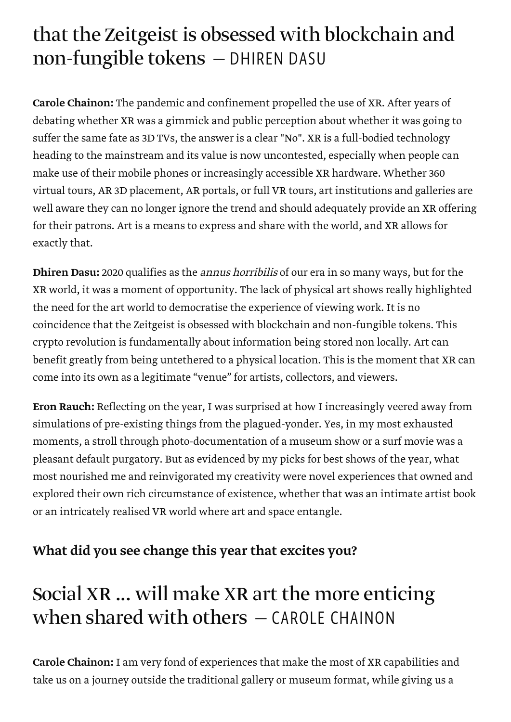# that the Zeitgeist is obsessed with blockchain and non-fungible tokens — DHIREN DASU

Carole Chainon: The pandemic and confinement propelled the use of XR. After years of debating whether XR was a gimmick and public perception about whether it was going to suffer the same fate as 3D TVs, the answer is a clear "No". XR is a full-bodied technology heading to the mainstream and its value is now uncontested, especially when people can make use of their mobile phones or increasingly accessible XR hardware. Whether 360 virtual tours, AR 3D placement, AR portals, or full VR tours, art institutions and galleries are well aware they can no longer ignore the trend and should adequately provide an XR offering for their patrons. Art is a means to express and share with the world, and XR allows for exactly that.

**Dhiren Dasu:** 2020 qualifies as the *annus horribilis* of our era in so many ways, but for the XR world, it was a moment of opportunity. The lack of physical art shows really highlighted the need for the art world to democratise the experience of viewing work. It is no coincidence that the Zeitgeist is obsessed with blockchain and non-fungible tokens. This crypto revolution is fundamentally about information being stored non locally. Art can benefit greatly from being untethered to a physical location. This is the moment that XR can come into its own as a legitimate "venue" for artists, collectors, and viewers.

Eron Rauch: Reflecting on the year, I was surprised at how I increasingly veered away from simulations of pre-existing things from the plagued-yonder. Yes, in my most exhausted moments, a stroll through photo-documentation of a museum show or a surf movie was a pleasant default purgatory. But as evidenced by my picks for best shows of the year, what most nourished me and reinvigorated my creativity were novel experiences that owned and explored their own rich circumstance of existence, whether that was an intimate artist book or an intricately realised VR world where art and space entangle.

## What did you see change this year that excites you?

## Social XR ... will make XR art the more enticing when shared with others - CAROLE CHAINON

Carole Chainon: I am very fond of experiences that make the most of XR capabilities and take us on a journey outside the traditional gallery or museum format, while giving us a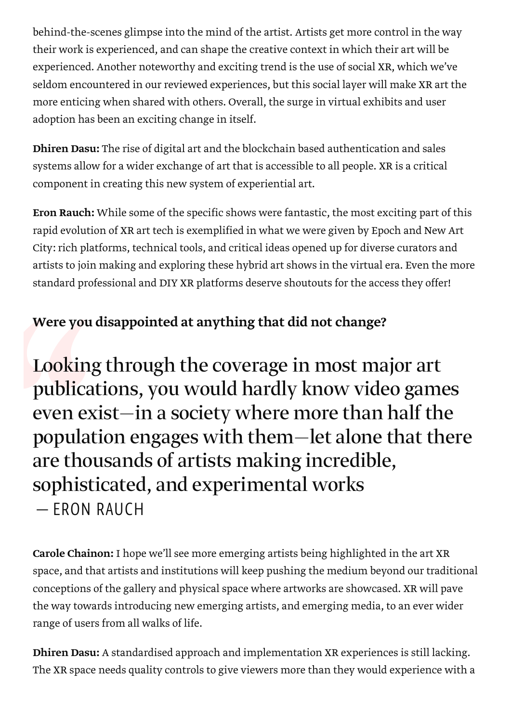behind-the-scenes glimpse into the mind of the artist. Artists get more control in the way their work is experienced, and can shape the creative context in which their art will be experienced. Another noteworthy and exciting trend is the use of social XR, which we've seldom encountered in our reviewed experiences, but this social layer will make XR art the more enticing when shared with others. Overall, the surge in virtual exhibits and user adoption has been an exciting change in itself.

Dhiren Dasu: The rise of digital art and the blockchain based authentication and sales systems allow for a wider exchange of art that is accessible to all people. XR is a critical component in creating this new system of experiential art.

Eron Rauch: While some of the specific shows were fantastic, the most exciting part of this rapid evolution of XR art tech is exemplified in what we were given by Epoch and New Art City: rich platforms, technical tools, and critical ideas opened up for diverse curators and artists to join making and exploring these hybrid art shows in the virtual era. Even the more standard professional and DIY XR platforms deserve shoutouts for the access they offer!

## Were you disappointed at anything that did not change?

Were you disapp<br>Looking throublications<br>even exist—<br>population e<br>are thousand<br>sophisticate<br>— ERON RAUCI Looking through the coverage in most major art publications, you would hardly know video games even exist—in a society where more than half the population engages with them—let alone that there are thousands of artists making incredible, sophisticated, and experimental works — ERON RAUCH

Carole Chainon: I hope we'll see more emerging artists being highlighted in the art XR space, and that artists and institutions will keep pushing the medium beyond our traditional conceptions of the gallery and physical space where artworks are showcased. XR will pave the way towards introducing new emerging artists, and emerging media, to an ever wider range of users from all walks of life.

Dhiren Dasu: A standardised approach and implementation XR experiences is still lacking. The XR space needs quality controls to give viewers more than they would experience with a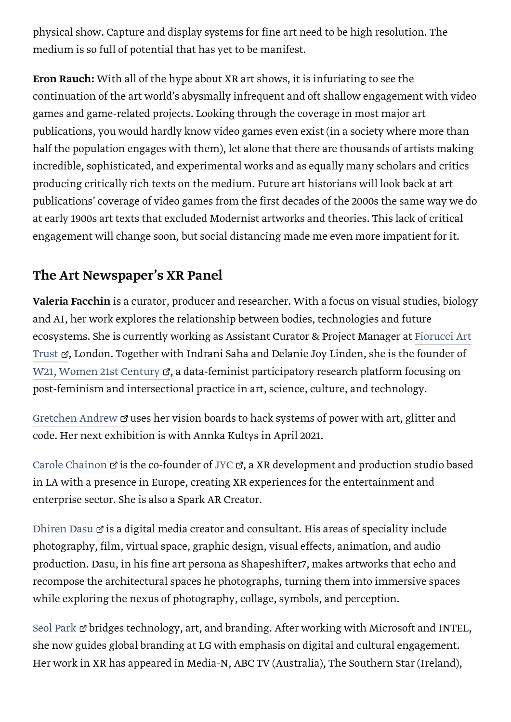physical show. Capture and display systems for fine art need to be high resolution. The medium is so full of potential that has yet to be manifest.

Eron Rauch: With all of the hype about XR art shows, it is infuriating to see the continuation of the art world's abysmally infrequent and oft shallow engagement with video games and game-related projects. Looking through the coverage in most major art publications, you would hardly know video games even exist (in a society where more than half the population engages with them), let alone that there are thousands of artists making incredible, sophisticated, and experimental works and as equally many scholars and critics producing critically rich texts on the medium. Future art historians will look back at art publications' coverage of video games from the first decades of the 2000s the same way we do at early 1900s art texts that excluded Modernist artworks and theories. This lack of critical engagement will change soon, but social distancing made me even more impatient for it.

## The Art Newspaper's XR Panel

Valeria Facchin is a curator, producer and researcher. With a focus on visual studies, biology and AI, her work explores the relationship between bodies, technologies and future [ecosystems. She is currently working as Assistant Curator & Project Manager at Fiorucci Art](http://fiorucciartrust.com/) Trust &, London. Together with Indrani Saha and Delanie Joy Linden, she is the founder of [W21, Women 21st Century](https://www.women21stcentury.com/)  $\mathbb{Z}$ , a data-feminist participatory research platform focusing on post-feminism and intersectional practice in art, science, culture, and technology.

[Gretchen Andrew](https://www.instagram.com/gretchenandrew/)  $\sigma$  uses her vision boards to hack systems of power with art, glitter and code. Her next exhibition is with Annka Kultys in April 2021.

[Carole Chainon](http://jyc.io/)  $\sigma$  is the co-founder of [JYC](http://jyc.io/)  $\sigma$ , a XR development and production studio based in LA with a presence in Europe, creating XR experiences for the entertainment and enterprise sector. She is also a Spark AR Creator.

[Dhiren Dasu](http://www.shapeshifter7.com/)  $\sigma$  is a digital media creator and consultant. His areas of speciality include photography, film, virtual space, graphic design, visual effects, animation, and audio production. Dasu, in his fine art persona as Shapeshifter7, makes artworks that echo and recompose the architectural spaces he photographs, turning them into immersive spaces while exploring the nexus of photography, collage, symbols, and perception.

[Seol Park](https://www.linkedin.com/in/seolpark) & bridges technology, art, and branding. After working with Microsoft and INTEL, she now guides global branding at LG with emphasis on digital and cultural engagement. Her work in XR has appeared in Media-N, ABC TV (Australia), The Southern Star (Ireland),